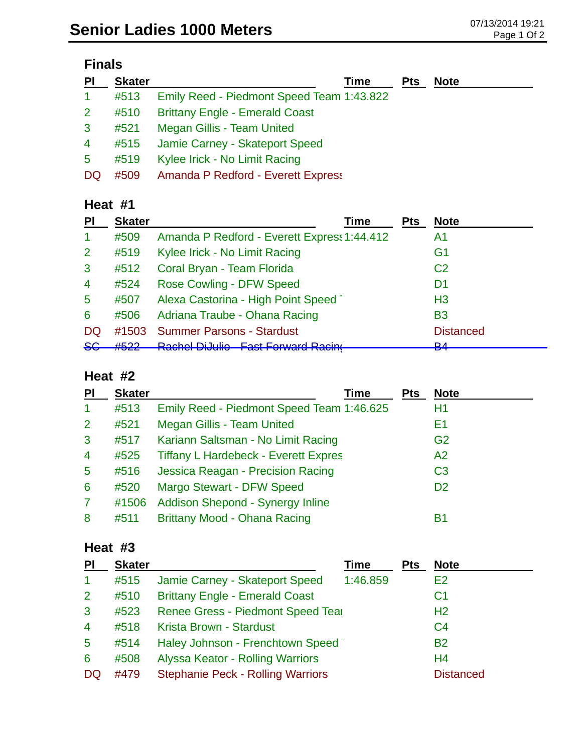|  | ınaı |
|--|------|
|--|------|

| $\overline{P}$ | <b>Skater</b> | <b>Pts</b><br><b>Note</b><br>Time         |
|----------------|---------------|-------------------------------------------|
| $\mathbf{1}$   | #513          | Emily Reed - Piedmont Speed Team 1:43.822 |
| 2 <sup>1</sup> | #510          | <b>Brittany Engle - Emerald Coast</b>     |
| $\mathbf{3}$   | #521          | Megan Gillis - Team United                |
| 4 <sup>1</sup> |               | #515 Jamie Carney - Skateport Speed       |
| 5              | #519          | Kylee Irick - No Limit Racing             |
| <b>DQ</b>      | #509          | <b>Amanda P Redford - Everett Express</b> |

#### **Heat #1**

| PI             | <b>Skater</b> | Time                                        | <b>Pts</b> | <b>Note</b>      |  |
|----------------|---------------|---------------------------------------------|------------|------------------|--|
| 1              | #509          | Amanda P Redford - Everett Express 1:44.412 |            | A1               |  |
| 2              | #519          | Kylee Irick - No Limit Racing               |            | G1               |  |
| 3              | #512          | Coral Bryan - Team Florida                  |            | C <sub>2</sub>   |  |
| $\overline{4}$ | #524          | <b>Rose Cowling - DFW Speed</b>             |            | D1               |  |
| $\overline{5}$ | #507          | Alexa Castorina - High Point Speed          |            | H <sub>3</sub>   |  |
| 6              | #506          | Adriana Traube - Ohana Racing               |            | B <sub>3</sub>   |  |
| DQ             | #1503         | <b>Summer Parsons - Stardust</b>            |            | <b>Distanced</b> |  |
| <del>SG</del>  | #500          | <b>Dochol Di Julio East Forward Docing</b>  |            | D 1<br>▱         |  |

#### **Heat #2**

| PI             | <b>Skater</b> | Time                                        | <b>Pts</b> | <b>Note</b>    |
|----------------|---------------|---------------------------------------------|------------|----------------|
|                | #513          | Emily Reed - Piedmont Speed Team 1:46.625   |            | H1             |
| 2              | #521          | <b>Megan Gillis - Team United</b>           |            | Ε1             |
| 3              | #517          | Kariann Saltsman - No Limit Racing          |            | G <sub>2</sub> |
| $\overline{4}$ | #525          | <b>Tiffany L Hardebeck - Everett Expres</b> |            | A <sub>2</sub> |
| 5              | #516          | Jessica Reagan - Precision Racing           |            | C <sub>3</sub> |
| 6              | #520          | <b>Margo Stewart - DFW Speed</b>            |            | D <sub>2</sub> |
| 7              | #1506         | Addison Shepond - Synergy Inline            |            |                |
| 8              | #511          | Brittany Mood - Ohana Racing                |            | В1             |

## **Heat #3**

| PI              | <b>Skater</b> |                                          | Time     | Pts | <b>Note</b>      |  |
|-----------------|---------------|------------------------------------------|----------|-----|------------------|--|
|                 | #515          | Jamie Carney - Skateport Speed           | 1:46.859 |     | E <sub>2</sub>   |  |
| $\overline{2}$  | #510          | <b>Brittany Engle - Emerald Coast</b>    |          |     | C1               |  |
| 3               | #523          | Renee Gress - Piedmont Speed Tear        |          |     | H <sub>2</sub>   |  |
| $\overline{4}$  | #518          | Krista Brown - Stardust                  |          |     | C <sub>4</sub>   |  |
| $5\phantom{.0}$ | #514          | Haley Johnson - Frenchtown Speed         |          |     | <b>B2</b>        |  |
| 6               | #508          | Alyssa Keator - Rolling Warriors         |          |     | H4               |  |
| DQ              | #479          | <b>Stephanie Peck - Rolling Warriors</b> |          |     | <b>Distanced</b> |  |